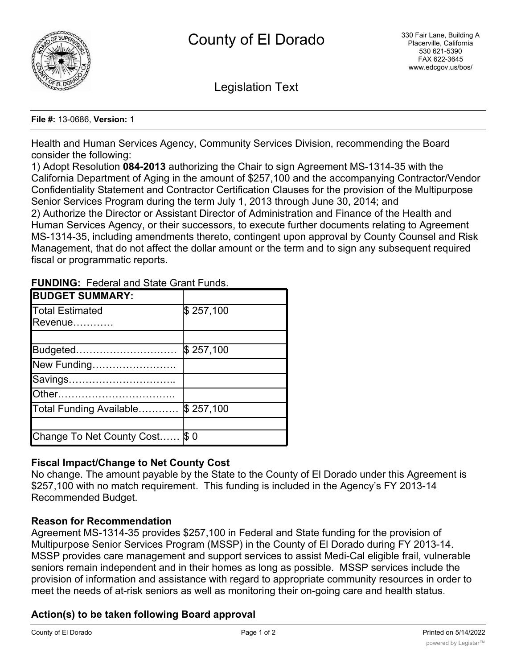

Legislation Text

#### **File #:** 13-0686, **Version:** 1

Health and Human Services Agency, Community Services Division, recommending the Board consider the following:

1) Adopt Resolution **084-2013** authorizing the Chair to sign Agreement MS-1314-35 with the California Department of Aging in the amount of \$257,100 and the accompanying Contractor/Vendor Confidentiality Statement and Contractor Certification Clauses for the provision of the Multipurpose Senior Services Program during the term July 1, 2013 through June 30, 2014; and 2) Authorize the Director or Assistant Director of Administration and Finance of the Health and Human Services Agency, or their successors, to execute further documents relating to Agreement MS-1314-35, including amendments thereto, contingent upon approval by County Counsel and Risk Management, that do not affect the dollar amount or the term and to sign any subsequent required fiscal or programmatic reports.

| <b>BUDGET SUMMARY:</b>          |           |
|---------------------------------|-----------|
| Total Estimated                 | \$257,100 |
| Revenue                         |           |
|                                 |           |
| Budgeted                        | \$257,100 |
| New Funding                     |           |
| Savings                         |           |
| Other                           |           |
| Total Funding Available         | \$257,100 |
|                                 |           |
| Change To Net County Cost  \$ 0 |           |

**FUNDING:** Federal and State Grant Funds.

# **Fiscal Impact/Change to Net County Cost**

No change. The amount payable by the State to the County of El Dorado under this Agreement is \$257,100 with no match requirement. This funding is included in the Agency's FY 2013-14 Recommended Budget.

### **Reason for Recommendation**

Agreement MS-1314-35 provides \$257,100 in Federal and State funding for the provision of Multipurpose Senior Services Program (MSSP) in the County of El Dorado during FY 2013-14. MSSP provides care management and support services to assist Medi-Cal eligible frail, vulnerable seniors remain independent and in their homes as long as possible. MSSP services include the provision of information and assistance with regard to appropriate community resources in order to meet the needs of at-risk seniors as well as monitoring their on-going care and health status.

# **Action(s) to be taken following Board approval**